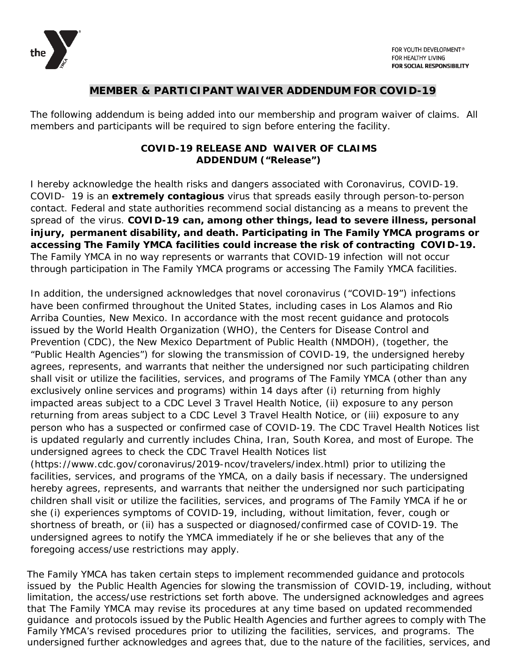

## **MEMBER & PARTICIPANT WAIVER ADDENDUM FOR COVID-19**

The following addendum is being added into our membership and program waiver of claims. All members and participants will be required to sign before entering the facility.

## **COVID-19 RELEASE AND WAIVER OF CLAIMS ADDENDUM ("Release")**

I hereby acknowledge the health risks and dangers associated with Coronavirus, COVID-19. COVID- 19 is an **extremely contagious** virus that spreads easily through person-to-person contact. Federal and state authorities recommend social distancing as a means to prevent the spread of the virus. **COVID-19 can, among other things, lead to severe illness, personal injury, permanent disability, and death. Participating in The Family YMCA programs or accessing The Family YMCA facilities could increase the risk of contracting COVID-19.** The Family YMCA in no way represents or warrants that COVID-19 infection will not occur through participation in The Family YMCA programs or accessing The Family YMCA facilities.

In addition, the undersigned acknowledges that novel coronavirus ("COVID-19") infections have been confirmed throughout the United States, including cases in Los Alamos and Rio Arriba Counties, New Mexico. In accordance with the most recent guidance and protocols issued by the World Health Organization (WHO), the Centers for Disease Control and Prevention (CDC), the New Mexico Department of Public Health (NMDOH), (together, the "Public Health Agencies") for slowing the transmission of COVID-19, the undersigned hereby agrees, represents, and warrants that neither the undersigned nor such participating children shall visit or utilize the facilities, services, and programs of The Family YMCA (other than any exclusively online services and programs) within 14 days after (i) returning from highly impacted areas subject to a CDC Level 3 Travel Health Notice, (ii) exposure to any person returning from areas subject to a CDC Level 3 Travel Health Notice, or (iii) exposure to any person who has a suspected or confirmed case of COVID-19. The CDC Travel Health Notices list is updated regularly and currently includes China, Iran, South Korea, and most of Europe. The undersigned agrees to check the CDC Travel Health Notices list

(https://www.cdc.gov/coronavirus/2019-ncov/travelers/index.html) prior to utilizing the facilities, services, and programs of the YMCA, on a daily basis if necessary. The undersigned hereby agrees, represents, and warrants that neither the undersigned nor such participating children shall visit or utilize the facilities, services, and programs of The Family YMCA if he or she (i) experiences symptoms of COVID-19, including, without limitation, fever, cough or shortness of breath, or (ii) has a suspected or diagnosed/confirmed case of COVID-19. The undersigned agrees to notify the YMCA immediately if he or she believes that any of the foregoing access/use restrictions may apply.

The Family YMCA has taken certain steps to implement recommended guidance and protocols issued by the Public Health Agencies for slowing the transmission of COVID-19, including, without limitation, the access/use restrictions set forth above. The undersigned acknowledges and agrees that The Family YMCA may revise its procedures at any time based on updated recommended guidance and protocols issued by the Public Health Agencies and further agrees to comply with The Family YMCA's revised procedures prior to utilizing the facilities, services, and programs. The undersigned further acknowledges and agrees that, due to the nature of the facilities, services, and